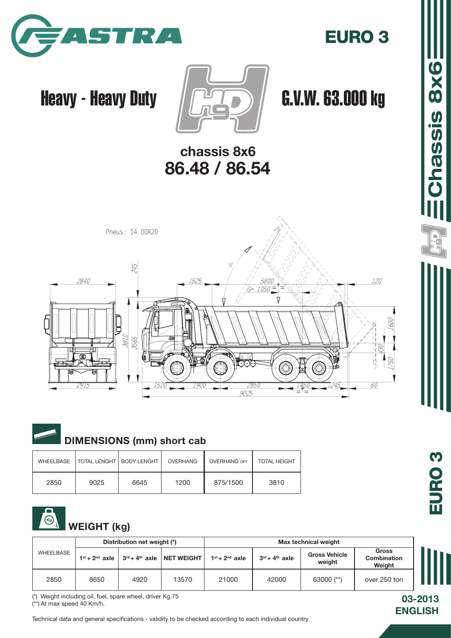

### EURO 3

## Heavy - Heavy Duty  $\sqrt{2\pi}$   $\sqrt{6}$ .V.W. 63.000 kg



### chassis 8x6 86.48 / 86.54





### DIMENSIONS (mm) short cab

| WHEELBASE | <b>TOTAL LENGHT I BODY LENGHT</b> |      | OVERHANG | <b>OVERHANG OPT</b> | <b>TOTAL HEIGHT</b> |
|-----------|-----------------------------------|------|----------|---------------------|---------------------|
| 2850      | 9025                              | 6645 | 1200     | 875/1500            | 3810                |

#### WEIGHT (kg)

|           |      | Distribution net weight (*)                                                                              |       |                                |                                              | Max technical weight |              |  |
|-----------|------|----------------------------------------------------------------------------------------------------------|-------|--------------------------------|----------------------------------------------|----------------------|--------------|--|
| WHEELBASE |      | $1^{st}$ + $2^{nd}$ axle   $3^{rd}$ + $4^{th}$ axle   NET WEIGHT<br>$1st + 2nd$ axle<br>$3rd + 4th$ axle |       | <b>Gross Vehicle</b><br>weight | <b>Gross</b><br><b>Combination</b><br>Weight |                      |              |  |
| 2850      | 8650 | 4920                                                                                                     | 13570 | 21000                          | 42000                                        | 63000 $(**)$         | over 250 ton |  |

(\*) Weight including oil, fuel, spare wheel, driver Kg.75

(\*\*) At max speed 40 Km/h.

Technical data and general specifications - validity to be checked according to each individual country

EChassis 8x6

03-2013

**ENGLISH**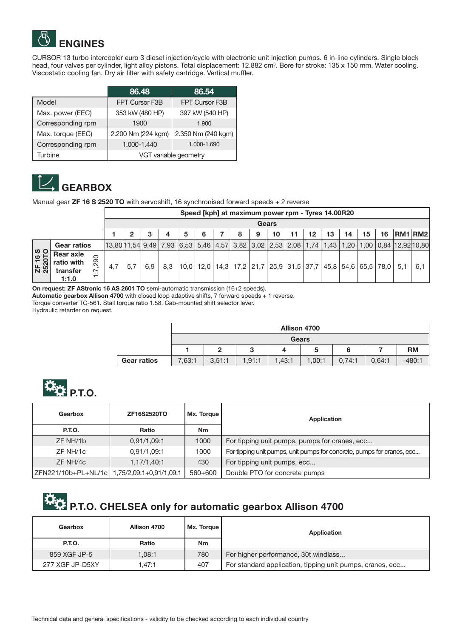

CURSOR 13 turbo intercooler euro 3 diesel injection/cycle with electronic unit injection pumps. 6 in-line cylinders. Single block head, four valves per cylinder, light alloy pistons. Total displacement: 12.882 cm<sup>3</sup>. Bore for stroke: 135 x 150 mm. Water cooling. Viscostatic cooling fan. Dry air filter with safety cartridge. Vertical muffler.

|                   | 86.48                 | 86.54              |  |  |  |
|-------------------|-----------------------|--------------------|--|--|--|
| Model             | FPT Cursor F3B        | FPT Cursor F3B     |  |  |  |
| Max. power (EEC)  | 353 kW (480 HP)       | 397 kW (540 HP)    |  |  |  |
| Corresponding rpm | 1900                  | 1.900              |  |  |  |
| Max. torque (EEC) | 2.200 Nm (224 kgm)    | 2.350 Nm (240 kgm) |  |  |  |
| Corresponding rpm | 1.000-1.440           | 1.000-1.690        |  |  |  |
| Turbine           | VGT variable geometry |                    |  |  |  |



Manual gear **ZF 16 S 2520 TO** with servoshift, 16 synchronised forward speeds + 2 reverse

|                   |                                                     |                                                                    |                                                                                               | Speed [kph] at maximum power rpm - Tyres 14.00R20 |     |     |      |      |  |   |                                                                     |    |  |    |    |    |    |    |     |         |
|-------------------|-----------------------------------------------------|--------------------------------------------------------------------|-----------------------------------------------------------------------------------------------|---------------------------------------------------|-----|-----|------|------|--|---|---------------------------------------------------------------------|----|--|----|----|----|----|----|-----|---------|
|                   |                                                     |                                                                    |                                                                                               | Gears                                             |     |     |      |      |  |   |                                                                     |    |  |    |    |    |    |    |     |         |
|                   |                                                     |                                                                    |                                                                                               |                                                   | 3   | 4   | 5    | 6    |  | 8 | 9                                                                   | 10 |  | 12 | 13 | 14 | 15 | 16 |     | RM1 RM2 |
|                   | <b>Gear ratios</b>                                  |                                                                    | 13,80 11,54 9,49 7,93 6,53 5,46 4,57 3,82 3,02 2,53 2,08 1,74 1,43 1,20 1,00 0,84 12,92 10,80 |                                                   |     |     |      |      |  |   |                                                                     |    |  |    |    |    |    |    |     |         |
| ZF 16 S<br>2520TO | <b>Rear axle</b><br>ratio with<br>transfer<br>1:1.0 | 290<br>$\overline{\phantom{0}}$<br>. .<br>$\overline{\phantom{0}}$ | 4.7                                                                                           | 5.7                                               | 6.9 | 8.3 | 10.0 | 12.0 |  |   | 14,3   17,2   21,7   25,9   31,5   37,7   45,8   54,6   65,5   78,0 |    |  |    |    |    |    |    | 5.1 | 6,1     |

On request: ZF AStronic 16 AS 2601 TO semi-automatic transmission (16+2 speeds).

Automatic gearbox Allison 4700 with closed loop adaptive shifts, 7 forward speeds + 1 reverse.

Torque converter TC-561. Stall torque ratio 1.58. Cab-mounted shift selector lever.

Hydraulic retarder on request.

|                    | <b>Allison 4700</b> |        |        |        |        |        |        |           |  |  |
|--------------------|---------------------|--------|--------|--------|--------|--------|--------|-----------|--|--|
|                    | <b>Gears</b>        |        |        |        |        |        |        |           |  |  |
|                    |                     | פ      | ۰J     |        | b      | 6      |        | <b>RM</b> |  |  |
| <b>Gear ratios</b> | 7.63:1              | 3.51:1 | 1.91:1 | 1,43:1 | 1,00:1 | 0.74:1 | 0.64:1 | $-480:1$  |  |  |



| Gearbox                                       | ZF16S2520TO | Mx. Torque | Application                                                            |
|-----------------------------------------------|-------------|------------|------------------------------------------------------------------------|
| P.T.O.                                        | Ratio       | <b>Nm</b>  |                                                                        |
| ZF NH/1b                                      | 0,91/1,09:1 | 1000       | For tipping unit pumps, pumps for cranes, ecc                          |
| ZF NH/1c                                      | 0,91/1,09:1 | 1000       | For tipping unit pumps, unit pumps for concrete, pumps for cranes, ecc |
| ZF NH/4c                                      | 1,17/1,40:1 | 430        | For tipping unit pumps, ecc                                            |
| ZFN221/10b+PL+NL/1c   1,75/2,09:1+0,91/1,09:1 |             | 560+600    | Double PTO for concrete pumps                                          |

# P.T.O. CHELSEA only for automatic gearbox Allison 4700

| Gearbox         | Allison 4700 | Mx. Torque | Application                                               |
|-----------------|--------------|------------|-----------------------------------------------------------|
| <b>P.T.O.</b>   | Ratio        | <b>Nm</b>  |                                                           |
| 859 XGF JP-5    | 1.08:1       | 780        | For higher performance, 30t windlass                      |
| 277 XGF JP-D5XY | 1.47:1       | 407        | For standard application, tipping unit pumps, cranes, ecc |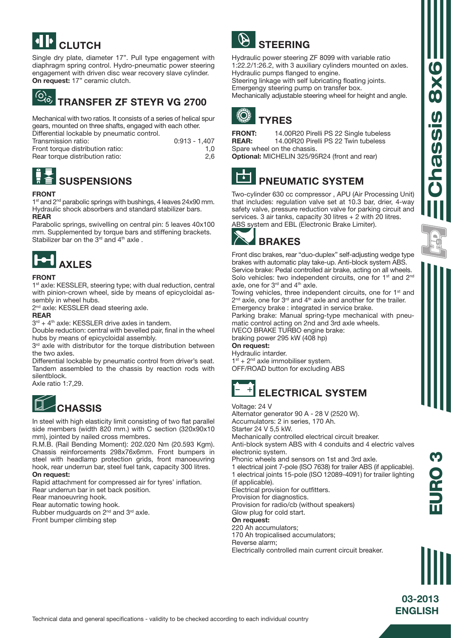## **CLUTCH**

Single dry plate, diameter 17". Pull type engagement with diaphragm spring control. Hydro-pneumatic power steering engagement with driven disc wear recovery slave cylinder. On request: 17" ceramic clutch.

#### $\odot$   $\odot$ TRANSFER ZF STEYR VG 2700

Mechanical with two ratios. It consists of a series of helical spur gears, mounted on three shafts, engaged with each other. Differential lockable by pneumatic control.

| Transmission ratio:              | $0:913 - 1.407$ |
|----------------------------------|-----------------|
| Front torque distribution ratio: | 1.0             |
| Rear torque distribution ratio:  | 2.6             |

## **SUSPENSIONS**

#### FRONT

1<sup>st</sup> and 2<sup>nd</sup> parabolic springs with bushings, 4 leaves 24x90 mm. Hydraulic shock absorbers and standard stabilizer bars. REAR

Parabolic springs, swivelling on central pin: 5 leaves 40x100 mm. Supplemented by torque bars and stiffening brackets. Stabilizer bar on the  $3<sup>rd</sup>$  and  $4<sup>th</sup>$  axle.



#### FRONT

1<sup>st</sup> axle: KESSLER, steering type; with dual reduction, central with pinion-crown wheel, side by means of epicycloidal assembly in wheel hubs.

2<sup>nd</sup> axle: KESSLER dead steering axle.

#### REAR

 $3<sup>rd</sup> + 4<sup>th</sup>$  axle: KESSLER drive axles in tandem.

Double reduction: central with bevelled pair, final in the wheel hubs by means of epicycloidal assembly.

3<sup>rd</sup> axle with distributor for the torque distribution between the two axles.

Differential lockable by pneumatic control from driver's seat. Tandem assembled to the chassis by reaction rods with silentblock.

Axle ratio 1:7,29.

## **CHASSIS**

In steel with high elasticity limit consisting of two flat parallel side members (width 820 mm.) with C section (320x90x10 mm), jointed by nailed cross membres.

R.M.B. (Rail Bending Moment): 202.020 Nm (20.593 Kgm). Chassis reinforcements 298x76x6mm. Front bumpers in steel with headlamp protection grids, front manoeuvring hook, rear underrun bar, steel fuel tank, capacity 300 litres. On request:

Rapid attachment for compressed air for tyres' inflation.

Rear underrun bar in set back position.

Rear manoeuvring hook.

Rear automatic towing hook.

Rubber mudguards on 2<sup>nd</sup> and 3<sup>rd</sup> axle.

Front bumper climbing step



Hydraulic power steering ZF 8099 with variable ratio 1:22.2/1:26.2, with 3 auxiliary cylinders mounted on axles. Hydraulic pumps flanged to engine.

Steering linkage with self lubricating floating joints. Emergengy steering pump on transfer box. Mechanically adjustable steering wheel for height and angle.



FRONT: 14.00R20 Pirelli PS 22 Single tubeless REAR: 14.00R20 Pirelli PS 22 Twin tubeless Spare wheel on the chassis.

Optional: MICHELIN 325/95R24 (front and rear)



### PNEUMATIC SYSTEM

Two-cylinder 630 cc compressor , APU (Air Processing Unit) that includes: regulation valve set at 10.3 bar, drier, 4-way safety valve, pressure reduction valve for parking circuit and services. 3 air tanks, capacity 30 litres + 2 with 20 litres. ABS system and EBL (Electronic Brake Limiter).



Front disc brakes, rear "duo-duplex" self-adjusting wedge type brakes with automatic play take-up. Anti-block system ABS. Service brake: Pedal controlled air brake, acting on all wheels. Solo vehicles: two independent circuits, one for 1<sup>st</sup> and 2<sup>nd</sup> axle, one for  $3<sup>rd</sup>$  and  $4<sup>th</sup>$  axle.

Towing vehicles, three independent circuits, one for 1<sup>st</sup> and 2<sup>nd</sup> axle, one for 3<sup>rd</sup> and 4<sup>th</sup> axle and another for the trailer. Emergency brake : integrated in service brake.

Parking brake: Manual spring-type mechanical with pneumatic control acting on 2nd and 3rd axle wheels. IVECO BRAKE TURBO engine brake:

braking power 295 kW (408 hp) On request:

Hydraulic intarder.  $1<sup>st</sup> + 2<sup>nd</sup>$  axle immobiliser system.

OFF/ROAD button for excluding ABS



#### Voltage: 24 V

Alternator generator 90 A - 28 V (2520 W). Accumulators: 2 in series, 170 Ah.

Starter 24 V 5,5 kW.

Mechanically controlled electrical circuit breaker.

Anti-block system ABS with 4 conduits and 4 electric valves electronic system.

Phonic wheels and sensors on 1st and 3rd axle.

1 electrical joint 7-pole (ISO 7638) for trailer ABS (if applicable). 1 electrical joints 15-pole (ISO 12089-4091) for trailer lighting (if applicable).

Electrical provision for outfitters.

Provision for diagnostics.

Provision for radio/cb (without speakers)

Glow plug for cold start.

On request: 220 Ah accumulators;

170 Ah tropicalised accumulators;

Reverse alarm;

Electrically controlled main current circuit breaker.